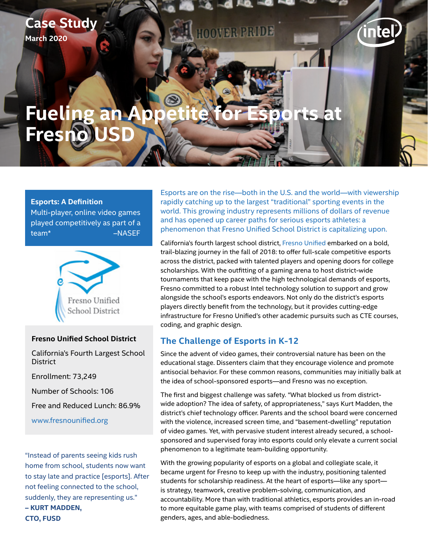## **Case Study March 2020**

# **Fueling an Fresn**

#### **Esports: A Definition**

Multi-player, online video games played competitively as part of a team\* [–NASEF](https://www.esportsfed.org/)



#### **[Fresno Unified School District](https://www.fresnounified.org)**

California's Fourth Largest School **District** 

Enrollment: 73,249

Number of Schools: 106

Free and Reduced Lunch: 86.9%

[www.fresnounified.org](https://www.fresnounified.org)

"Instead of parents seeing kids rush home from school, students now want to stay late and practice [esports]. After not feeling connected to the school, suddenly, they are representing us." **– KURT MADDEN, CTO, FUSD**

Esports are on the rise—both in the U.S. and the world—with viewership rapidly catching up to the largest "traditional" sporting events in the world. This growing industry represents millions of dollars of revenue and has opened up career paths for serious esports athletes: a phenomenon that Fresno Unified School District is capitalizing upon.

lte I

California's fourth largest school district, [Fresno Unified](https://www.fresnounified.org/) embarked on a bold, trail-blazing journey in the fall of 2018: to offer full-scale competitive esports across the district, packed with talented players and opening doors for college scholarships. With the outfitting of a gaming arena to host district-wide tournaments that keep pace with the high technological demands of esports, Fresno committed to a robust Intel technology solution to support and grow alongside the school's esports endeavors. Not only do the district's esports players directly benefit from the technology, but it provides cutting-edge infrastructure for Fresno Unified's other academic pursuits such as CTE courses, coding, and graphic design.

#### **The Challenge of Esports in K-12**

**OOMER PRIDE** 

Since the advent of video games, their controversial nature has been on the educational stage. Dissenters claim that they encourage violence and promote antisocial behavior. For these common reasons, communities may initially balk at the idea of school-sponsored esports—and Fresno was no exception.

The first and biggest challenge was safety. "What blocked us from districtwide adoption? The idea of safety, of appropriateness," says Kurt Madden, the district's chief technology officer. Parents and the school board were concerned with the violence, increased screen time, and "basement-dwelling" reputation of video games. Yet, with pervasive student interest already secured, a schoolsponsored and supervised foray into esports could only elevate a current social phenomenon to a legitimate team-building opportunity.

With the growing popularity of esports on a global and collegiate scale, it became urgent for Fresno to keep up with the industry, positioning talented students for scholarship readiness. At the heart of esports—like any sport is strategy, teamwork, creative problem-solving, communication, and accountability. More than with traditional athletics, esports provides an in-road to more equitable game play, with teams comprised of students of different genders, ages, and able-bodiedness.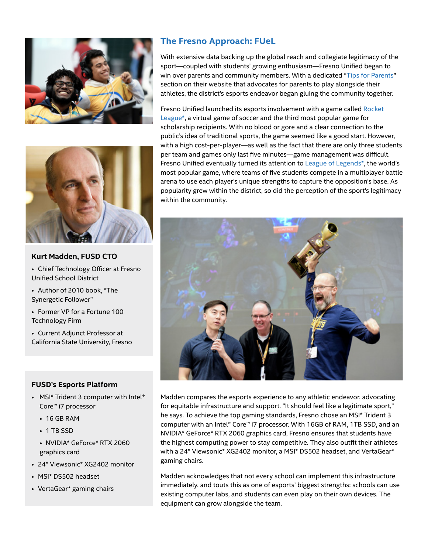



#### **Kurt Madden, FUSD CTO**

- Chief Technology Officer at Fresno Unified School District
- Author of 2010 book, "The Synergetic Follower"
- Former VP for a Fortune 100 Technology Firm
- Current Adjunct Professor at California State University, Fresno

#### **FUSD's Esports Platform**

- MSI\* Trident 3 computer with Intel® Core™ i7 processor
	- 16 GB RAM
	- 1 TB SSD
	- NVIDIA\* GeForce\* RTX 2060 graphics card
- 24" Viewsonic\* XG2402 monitor
- MSI\* DS502 headset
- VertaGear\* gaming chairs

### **The Fresno Approach: FUeL**

With extensive data backing up the global reach and collegiate legitimacy of the sport—coupled with students' growing enthusiasm—Fresno Unified began to win over parents and community members. With a dedicated "[Tips for Parents](https://fuel.fresnounified.org/index.php/parentstips/)" section on their website that advocates for parents to play alongside their athletes, the district's esports endeavor began gluing the community together.

Fresno Unified launched its esports involvement with a game called [Rocket](https://www.rocketleague.com/)  [League\\*](https://www.rocketleague.com/), a virtual game of soccer and the third most popular game for scholarship recipients. With no blood or gore and a clear connection to the public's idea of traditional sports, the game seemed like a good start. However, with a high cost-per-player—as well as the fact that there are only three students per team and games only last five minutes—game management was difficult. Fresno Unified eventually turned its attention to [League of Legends\\*,](https://na.leagueoflegends.com/en-us/) the world's most popular game, where teams of five students compete in a multiplayer battle arena to use each player's unique strengths to capture the opposition's base. As popularity grew within the district, so did the perception of the sport's legitimacy within the community.



Madden compares the esports experience to any athletic endeavor, advocating for equitable infrastructure and support. "It should feel like a legitimate sport," he says. To achieve the top gaming standards, Fresno chose an MSI\* Trident 3 computer with an Intel® Core™ i7 processor. With 16GB of RAM, 1TB SSD, and an NVIDIA\* GeForce\* RTX 2060 graphics card, Fresno ensures that students have the highest computing power to stay competitive. They also outfit their athletes with a 24" Viewsonic\* XG2402 monitor, a MSI\* DS502 headset, and VertaGear\* gaming chairs.

Madden acknowledges that not every school can implement this infrastructure immediately, and touts this as one of esports' biggest strengths: schools can use existing computer labs, and students can even play on their own devices. The equipment can grow alongside the team.